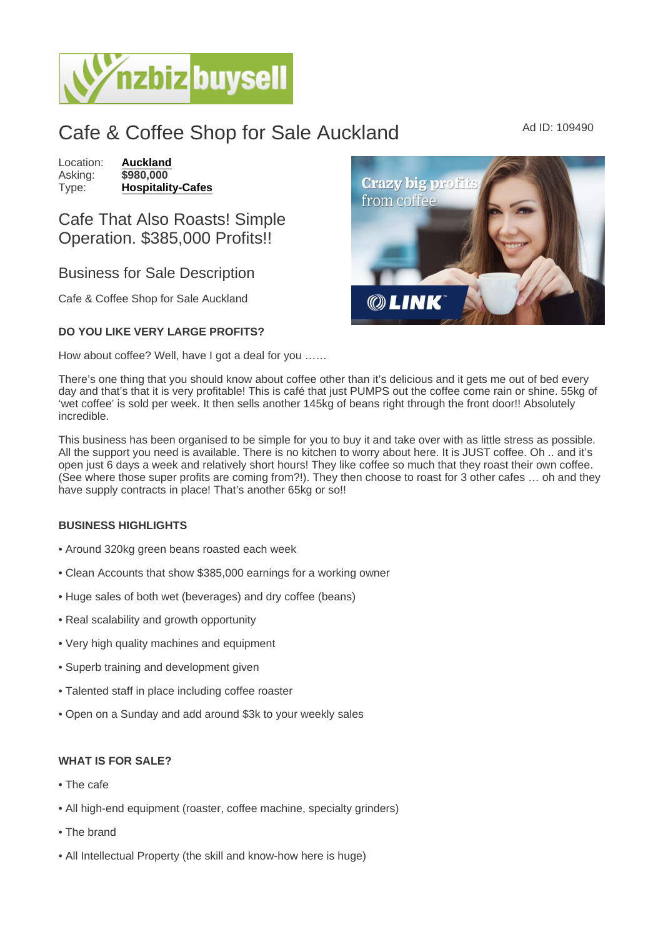# Cafe & Coffee Shop for Sale Auckland Ad ID: 109490

Location: [Auckland](https://www.nzbizbuysell.co.nz/businesses-for-sale/location/Auckland) Asking: \$980,000<br>Type: Hospitality [Hospitality-Cafes](https://www.nzbizbuysell.co.nz/businesses-for-sale/Cafes/New-Zealand)

## Cafe That Also Roasts! Simple Operation. \$385,000 Profits!!

### Business for Sale Description

Cafe & Coffee Shop for Sale Auckland

#### DO YOU LIKE VERY LARGE PROFITS?

How about coffee? Well, have I got a deal for you ……

There's one thing that you should know about coffee other than it's delicious and it gets me out of bed every day and that's that it is very profitable! This is café that just PUMPS out the coffee come rain or shine. 55kg of 'wet coffee' is sold per week. It then sells another 145kg of beans right through the front door!! Absolutely incredible.

This business has been organised to be simple for you to buy it and take over with as little stress as possible. All the support you need is available. There is no kitchen to worry about here. It is JUST coffee. Oh .. and it's open just 6 days a week and relatively short hours! They like coffee so much that they roast their own coffee. (See where those super profits are coming from?!). They then choose to roast for 3 other cafes … oh and they have supply contracts in place! That's another 65kg or so!!

#### BUSINESS HIGHLIGHTS

- Around 320kg green beans roasted each week
- Clean Accounts that show \$385,000 earnings for a working owner
- Huge sales of both wet (beverages) and dry coffee (beans)
- Real scalability and growth opportunity
- Very high quality machines and equipment
- Superb training and development given
- Talented staff in place including coffee roaster
- Open on a Sunday and add around \$3k to your weekly sales

#### WHAT IS FOR SALE?

- The cafe
- All high-end equipment (roaster, coffee machine, specialty grinders)
- The brand
- All Intellectual Property (the skill and know-how here is huge)